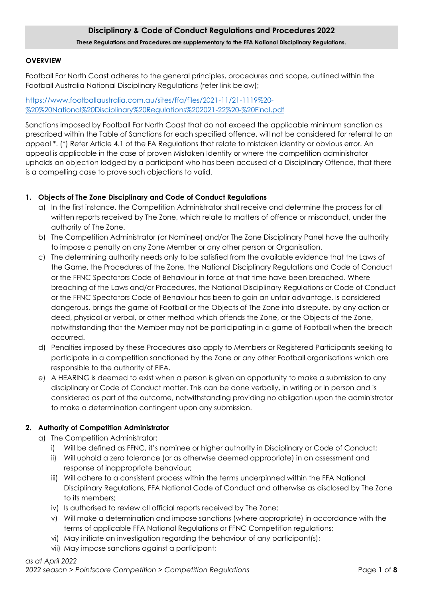## **Disciplinary & Code of Conduct Regulations and Procedures 2022 These Regulations and Procedures are supplementary to the FFA National Disciplinary Regulations.**

#### **OVERVIEW**

Football Far North Coast adheres to the general principles, procedures and scope, outlined within the Football Australia National Disciplinary Regulations (refer link below);

[https://www.footballaustralia.com.au/sites/ffa/files/2021-11/21-1119%20-](https://www.footballaustralia.com.au/sites/ffa/files/2021-11/21-1119%20-%20%20National%20Disciplinary%20Regulations%202021-22%20-%20Final.pdf) [%20%20National%20Disciplinary%20Regulations%202021-22%20-%20Final.pdf](https://www.footballaustralia.com.au/sites/ffa/files/2021-11/21-1119%20-%20%20National%20Disciplinary%20Regulations%202021-22%20-%20Final.pdf)

Sanctions imposed by Football Far North Coast that do not exceed the applicable minimum sanction as prescribed within the Table of Sanctions for each specified offence, will not be considered for referral to an appeal \*. (\*) Refer Article 4.1 of the FA Regulations that relate to mistaken identity or obvious error. An appeal is applicable in the case of proven Mistaken Identity or where the competition administrator upholds an objection lodged by a participant who has been accused of a Disciplinary Offence, that there is a compelling case to prove such objections to valid.

#### **1. Objects of The Zone Disciplinary and Code of Conduct Regulations**

- a) In the first instance, the Competition Administrator shall receive and determine the process for all written reports received by The Zone, which relate to matters of offence or misconduct, under the authority of The Zone.
- b) The Competition Administrator (or Nominee) and/or The Zone Disciplinary Panel have the authority to impose a penalty on any Zone Member or any other person or Organisation.
- c) The determining authority needs only to be satisfied from the available evidence that the Laws of the Game, the Procedures of the Zone, the National Disciplinary Regulations and Code of Conduct or the FFNC Spectators Code of Behaviour in force at that time have been breached. Where breaching of the Laws and/or Procedures, the National Disciplinary Regulations or Code of Conduct or the FFNC Spectators Code of Behaviour has been to gain an unfair advantage, is considered dangerous, brings the game of Football or the Objects of The Zone into disrepute, by any action or deed, physical or verbal, or other method which offends the Zone, or the Objects of the Zone, notwithstanding that the Member may not be participating in a game of Football when the breach occurred.
- d) Penalties imposed by these Procedures also apply to Members or Registered Participants seeking to participate in a competition sanctioned by the Zone or any other Football organisations which are responsible to the authority of FIFA.
- e) A HEARING is deemed to exist when a person is given an opportunity to make a submission to any disciplinary or Code of Conduct matter. This can be done verbally, in writing or in person and is considered as part of the outcome, notwithstanding providing no obligation upon the administrator to make a determination contingent upon any submission.

### **2. Authority of Competition Administrator**

- a) The Competition Administrator;
	- i) Will be defined as FFNC, it's nominee or higher authority in Disciplinary or Code of Conduct;
	- ii) Will uphold a zero tolerance (or as otherwise deemed appropriate) in an assessment and response of inappropriate behaviour;
	- iii) Will adhere to a consistent process within the terms underpinned within the FFA National Disciplinary Regulations, FFA National Code of Conduct and otherwise as disclosed by The Zone to its members;
	- iv) Is authorised to review all official reports received by The Zone;
	- v) Will make a determination and impose sanctions (where appropriate) in accordance with the terms of applicable FFA National Regulations or FFNC Competition regulations;
	- vi) May initiate an investigation regarding the behaviour of any participant(s);
	- vii) May impose sanctions against a participant;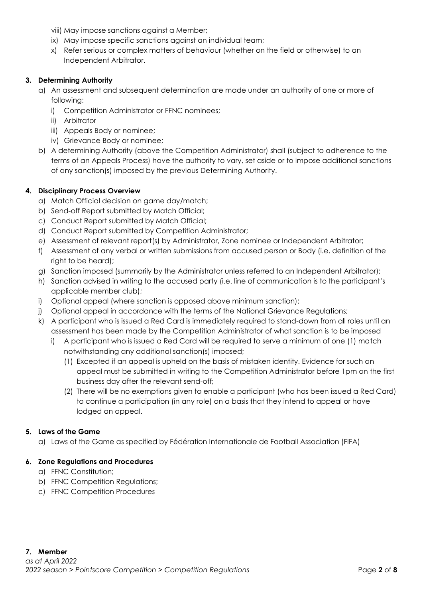viii) May impose sanctions against a Member;

- ix) May impose specific sanctions against an individual team;
- x) Refer serious or complex matters of behaviour (whether on the field or otherwise) to an Independent Arbitrator.

## **3. Determining Authority**

- a) An assessment and subsequent determination are made under an authority of one or more of following:
	- i) Competition Administrator or FFNC nominees;
	- ii) Arbitrator
	- iii) Appeals Body or nominee;
	- iv) Grievance Body or nominee;
- b) A determining Authority (above the Competition Administrator) shall (subject to adherence to the terms of an Appeals Process) have the authority to vary, set aside or to impose additional sanctions of any sanction(s) imposed by the previous Determining Authority.

### **4. Disciplinary Process Overview**

- a) Match Official decision on game day/match;
- b) Send-off Report submitted by Match Official;
- c) Conduct Report submitted by Match Official;
- d) Conduct Report submitted by Competition Administrator;
- e) Assessment of relevant report(s) by Administrator, Zone nominee or Independent Arbitrator;
- f) Assessment of any verbal or written submissions from accused person or Body (i.e. definition of the right to be heard);
- g) Sanction imposed (summarily by the Administrator unless referred to an Independent Arbitrator);
- h) Sanction advised in writing to the accused party (i.e. line of communication is to the participant's applicable member club);
- i) Optional appeal (where sanction is opposed above minimum sanction);
- j) Optional appeal in accordance with the terms of the National Grievance Regulations;
- k) A participant who is issued a Red Card is immediately required to stand-down from all roles until an assessment has been made by the Competition Administrator of what sanction is to be imposed
	- i) A participant who is issued a Red Card will be required to serve a minimum of one (1) match notwithstanding any additional sanction(s) imposed;
		- (1) Excepted if an appeal is upheld on the basis of mistaken identity. Evidence for such an appeal must be submitted in writing to the Competition Administrator before 1pm on the first business day after the relevant send-off;
		- (2) There will be no exemptions given to enable a participant (who has been issued a Red Card) to continue a participation (in any role) on a basis that they intend to appeal or have lodged an appeal.

### **5. Laws of the Game**

a) Laws of the Game as specified by Fédération Internationale de Football Association (FIFA)

### **6. Zone Regulations and Procedures**

- a) FFNC Constitution;
- b) FFNC Competition Regulations;
- c) FFNC Competition Procedures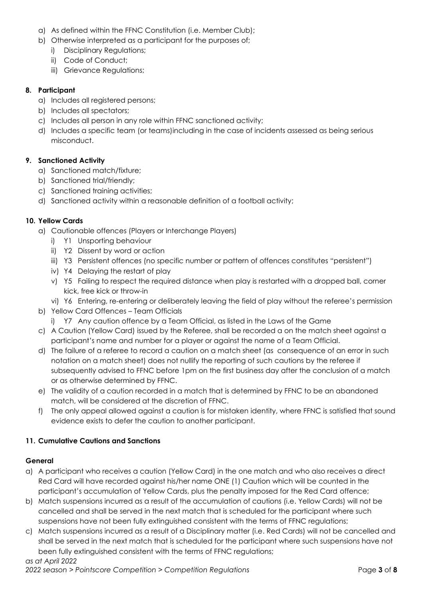- a) As defined within the FFNC Constitution (i.e. Member Club);
- b) Otherwise interpreted as a participant for the purposes of;
	- i) Disciplinary Regulations;
	- ii) Code of Conduct;
	- iii) Grievance Regulations;

### **8. Participant**

- a) Includes all registered persons;
- b) Includes all spectators;
- c) Includes all person in any role within FFNC sanctioned activity;
- d) Includes a specific team (or teams)including in the case of incidents assessed as being serious misconduct.

## **9. Sanctioned Activity**

- a) Sanctioned match/fixture;
- b) Sanctioned trial/friendly;
- c) Sanctioned training activities;
- d) Sanctioned activity within a reasonable definition of a football activity;

## **10. Yellow Cards**

- a) Cautionable offences (Players or Interchange Players)
	- i) Y1 Unsporting behaviour
	- ii) Y2 Dissent by word or action
	- iii) Y3 Persistent offences (no specific number or pattern of offences constitutes "persistent")
	- iv) Y4 Delaying the restart of play
	- v) Y5 Failing to respect the required distance when play is restarted with a dropped ball, corner kick, free kick or throw-in
	- vi) Y6 Entering, re-entering or deliberately leaving the field of play without the referee's permission
- b) Yellow Card Offences Team Officials
	- i) Y7 Any caution offence by a Team Official, as listed in the Laws of the Game
- c) A Caution (Yellow Card) issued by the Referee, shall be recorded a on the match sheet against a participant's name and number for a player or against the name of a Team Official.
- d) The failure of a referee to record a caution on a match sheet (as consequence of an error in such notation on a match sheet) does not nullify the reporting of such cautions by the referee if subsequently advised to FFNC before 1pm on the first business day after the conclusion of a match or as otherwise determined by FFNC.
- e) The validity of a caution recorded in a match that is determined by FFNC to be an abandoned match, will be considered at the discretion of FFNC.
- f) The only appeal allowed against a caution is for mistaken identity, where FFNC is satisfied that sound evidence exists to defer the caution to another participant.

### **11. Cumulative Cautions and Sanctions**

### **General**

- a) A participant who receives a caution (Yellow Card) in the one match and who also receives a direct Red Card will have recorded against his/her name ONE (1) Caution which will be counted in the participant's accumulation of Yellow Cards, plus the penalty imposed for the Red Card offence;
- b) Match suspensions incurred as a result of the accumulation of cautions (i.e. Yellow Cards) will not be cancelled and shall be served in the next match that is scheduled for the participant where such suspensions have not been fully extinguished consistent with the terms of FFNC regulations;
- c) Match suspensions incurred as a result of a Disciplinary matter (i.e. Red Cards) will not be cancelled and shall be served in the next match that is scheduled for the participant where such suspensions have not been fully extinguished consistent with the terms of FFNC regulations;

### *as at April 2022*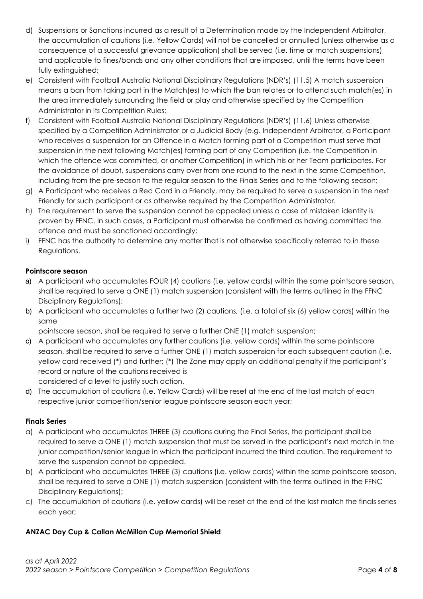- d) Suspensions or Sanctions incurred as a result of a Determination made by the Independent Arbitrator, the accumulation of cautions (i.e. Yellow Cards) will not be cancelled or annulled (unless otherwise as a consequence of a successful grievance application) shall be served (i.e. time or match suspensions) and applicable to fines/bonds and any other conditions that are imposed, until the terms have been fully extinguished;
- e) Consistent with Football Australia National Disciplinary Regulations (NDR's) (11.5) A match suspension means a ban from taking part in the Match(es) to which the ban relates or to attend such match(es) in the area immediately surrounding the field or play and otherwise specified by the Competition Administrator in its Competition Rules;
- f) Consistent with Football Australia National Disciplinary Regulations (NDR's) (11.6) Unless otherwise specified by a Competition Administrator or a Judicial Body (e.g. Independent Arbitrator, a Participant who receives a suspension for an Offence in a Match forming part of a Competition must serve that suspension in the next following Match(es) forming part of any Competition (i.e. the Competition in which the offence was committed, or another Competition) in which his or her Team participates. For the avoidance of doubt, suspensions carry over from one round to the next in the same Competition, including from the pre-season to the regular season to the Finals Series and to the following season;
- g) A Participant who receives a Red Card in a Friendly, may be required to serve a suspension in the next Friendly for such participant or as otherwise required by the Competition Administrator.
- h) The requirement to serve the suspension cannot be appealed unless a case of mistaken identity is proven by FFNC. In such cases, a Participant must otherwise be confirmed as having committed the offence and must be sanctioned accordingly;
- i) FFNC has the authority to determine any matter that is not otherwise specifically referred to in these Regulations.

# **Pointscore season**

- a) A participant who accumulates FOUR (4) cautions (i.e. yellow cards) within the same pointscore season, shall be required to serve a ONE (1) match suspension (consistent with the terms outlined in the FFNC Disciplinary Regulations);
- b) A participant who accumulates a further two (2) cautions, (i.e. a total of six (6) yellow cards) within the same

pointscore season, shall be required to serve a further ONE (1) match suspension;

- c) A participant who accumulates any further cautions (i.e. yellow cards) within the same pointscore season, shall be required to serve a further ONE (1) match suspension for each subsequent caution (i.e. yellow card received (\*) and further; (\*) The Zone may apply an additional penalty if the participant's record or nature of the cautions received is considered of a level to justify such action.
- d) The accumulation of cautions (i.e. Yellow Cards) will be reset at the end of the last match of each respective junior competition/senior league pointscore season each year;

### **Finals Series**

- a) A participant who accumulates THREE (3) cautions during the Final Series, the participant shall be required to serve a ONE (1) match suspension that must be served in the participant's next match in the junior competition/senior league in which the participant incurred the third caution. The requirement to serve the suspension cannot be appealed.
- b) A participant who accumulates THREE (3) cautions (i.e. yellow cards) within the same pointscore season, shall be required to serve a ONE (1) match suspension (consistent with the terms outlined in the FFNC Disciplinary Regulations);
- c) The accumulation of cautions (i.e. yellow cards) will be reset at the end of the last match the finals series each year;

### **ANZAC Day Cup & Callan McMillan Cup Memorial Shield**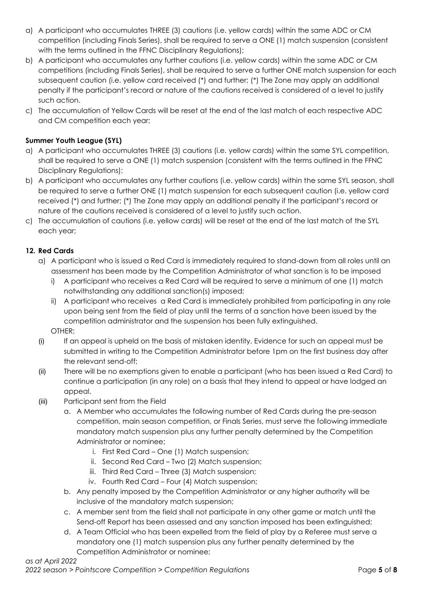- a) A participant who accumulates THREE (3) cautions (i.e. yellow cards) within the same ADC or CM competition (including Finals Series), shall be required to serve a ONE (1) match suspension (consistent with the terms outlined in the FFNC Disciplinary Regulations);
- b) A participant who accumulates any further cautions (i.e. yellow cards) within the same ADC or CM competitions (including Finals Series), shall be required to serve a further ONE match suspension for each subsequent caution (i.e. yellow card received (\*) and further; (\*) The Zone may apply an additional penalty if the participant's record or nature of the cautions received is considered of a level to justify such action.
- c) The accumulation of Yellow Cards will be reset at the end of the last match of each respective ADC and CM competition each year;

# **Summer Youth League (SYL)**

- a) A participant who accumulates THREE (3) cautions (i.e. yellow cards) within the same SYL competition, shall be required to serve a ONE (1) match suspension (consistent with the terms outlined in the FFNC Disciplinary Regulations);
- b) A participant who accumulates any further cautions (i.e. yellow cards) within the same SYL season, shall be required to serve a further ONE (1) match suspension for each subsequent caution (i.e. yellow card received (\*) and further; (\*) The Zone may apply an additional penalty if the participant's record or nature of the cautions received is considered of a level to justify such action.
- c) The accumulation of cautions (i.e. yellow cards) will be reset at the end of the last match of the SYL each year;

## **12. Red Cards**

- a) A participant who is issued a Red Card is immediately required to stand-down from all roles until an assessment has been made by the Competition Administrator of what sanction is to be imposed
	- i) A participant who receives a Red Card will be required to serve a minimum of one (1) match notwithstanding any additional sanction(s) imposed;
	- ii) A participant who receives a Red Card is immediately prohibited from participating in any role upon being sent from the field of play until the terms of a sanction have been issued by the competition administrator and the suspension has been fully extinguished. OTHER;
- (i) If an appeal is upheld on the basis of mistaken identity. Evidence for such an appeal must be submitted in writing to the Competition Administrator before 1pm on the first business day after the relevant send-off;
- (ii) There will be no exemptions given to enable a participant (who has been issued a Red Card) to continue a participation (in any role) on a basis that they intend to appeal or have lodged an appeal.
- (iii) Participant sent from the Field
	- a. A Member who accumulates the following number of Red Cards during the pre-season competition, main season competition, or Finals Series, must serve the following immediate mandatory match suspension plus any further penalty determined by the Competition Administrator or nominee;
		- i. First Red Card One (1) Match suspension;
		- ii. Second Red Card Two (2) Match suspension;
		- iii. Third Red Card Three (3) Match suspension;
		- iv. Fourth Red Card Four (4) Match suspension;
	- b. Any penalty imposed by the Competition Administrator or any higher authority will be inclusive of the mandatory match suspension;
	- c. A member sent from the field shall not participate in any other game or match until the Send-off Report has been assessed and any sanction imposed has been extinguished;
	- d. A Team Official who has been expelled from the field of play by a Referee must serve a mandatory one (1) match suspension plus any further penalty determined by the Competition Administrator or nominee;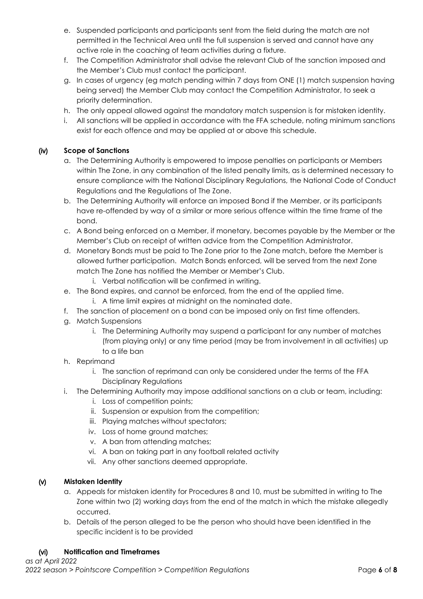- e. Suspended participants and participants sent from the field during the match are not permitted in the Technical Area until the full suspension is served and cannot have any active role in the coaching of team activities during a fixture.
- f. The Competition Administrator shall advise the relevant Club of the sanction imposed and the Member's Club must contact the participant.
- g. In cases of urgency (eg match pending within 7 days from ONE (1) match suspension having being served) the Member Club may contact the Competition Administrator, to seek a priority determination.
- h. The only appeal allowed against the mandatory match suspension is for mistaken identity.
- i. All sanctions will be applied in accordance with the FFA schedule, noting minimum sanctions exist for each offence and may be applied at or above this schedule.

# (iv) **Scope of Sanctions**

- a. The Determining Authority is empowered to impose penalties on participants or Members within The Zone, in any combination of the listed penalty limits, as is determined necessary to ensure compliance with the National Disciplinary Regulations, the National Code of Conduct Regulations and the Regulations of The Zone.
- b. The Determining Authority will enforce an imposed Bond if the Member, or its participants have re-offended by way of a similar or more serious offence within the time frame of the bond.
- c. A Bond being enforced on a Member, if monetary, becomes payable by the Member or the Member's Club on receipt of written advice from the Competition Administrator.
- d. Monetary Bonds must be paid to The Zone prior to the Zone match, before the Member is allowed further participation. Match Bonds enforced, will be served from the next Zone match The Zone has notified the Member or Member's Club.
	- i. Verbal notification will be confirmed in writing.
- e. The Bond expires, and cannot be enforced, from the end of the applied time.
	- i. A time limit expires at midnight on the nominated date.
- f. The sanction of placement on a bond can be imposed only on first time offenders.
- g. Match Suspensions
	- i. The Determining Authority may suspend a participant for any number of matches (from playing only) or any time period (may be from involvement in all activities) up to a life ban
- h. Reprimand
	- i. The sanction of reprimand can only be considered under the terms of the FFA Disciplinary Regulations
- i. The Determining Authority may impose additional sanctions on a club or team, including:
	- i. Loss of competition points;
	- ii. Suspension or expulsion from the competition;
	- iii. Playing matches without spectators;
	- iv. Loss of home ground matches;
	- v. A ban from attending matches;
	- vi. A ban on taking part in any football related activity
	- vii. Any other sanctions deemed appropriate.

# (v) **Mistaken Identity**

- a. Appeals for mistaken identity for Procedures 8 and 10, must be submitted in writing to The Zone within two (2) working days from the end of the match in which the mistake allegedly occurred.
- b. Details of the person alleged to be the person who should have been identified in the specific incident is to be provided

# (vi) **Notification and Timeframes**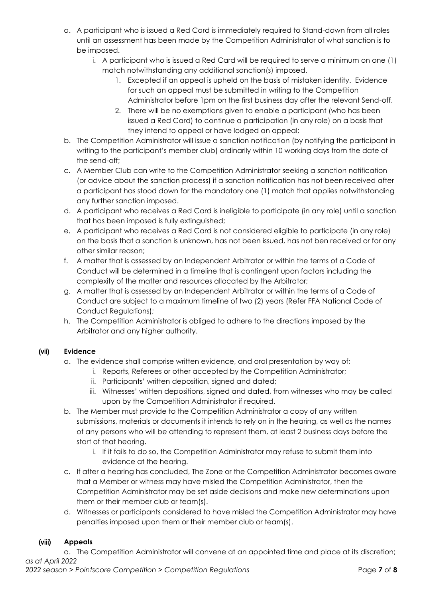- a. A participant who is issued a Red Card is immediately required to Stand-down from all roles until an assessment has been made by the Competition Administrator of what sanction is to be imposed.
	- i. A participant who is issued a Red Card will be required to serve a minimum on one (1) match notwithstanding any additional sanction(s) imposed.
		- 1. Excepted if an appeal is upheld on the basis of mistaken identity. Evidence for such an appeal must be submitted in writing to the Competition Administrator before 1pm on the first business day after the relevant Send-off.
		- 2. There will be no exemptions given to enable a participant (who has been issued a Red Card) to continue a participation (in any role) on a basis that they intend to appeal or have lodged an appeal;
- b. The Competition Administrator will issue a sanction notification (by notifying the participant in writing to the participant's member club) ordinarily within 10 working days from the date of the send-off;
- c. A Member Club can write to the Competition Administrator seeking a sanction notification (or advice about the sanction process) if a sanction notification has not been received after a participant has stood down for the mandatory one (1) match that applies notwithstanding any further sanction imposed.
- d. A participant who receives a Red Card is ineligible to participate (in any role) until a sanction that has been imposed is fully extinguished;
- e. A participant who receives a Red Card is not considered eligible to participate (in any role) on the basis that a sanction is unknown, has not been issued, has not ben received or for any other similar reason;
- f. A matter that is assessed by an Independent Arbitrator or within the terms of a Code of Conduct will be determined in a timeline that is contingent upon factors including the complexity of the matter and resources allocated by the Arbitrator;
- g. A matter that is assessed by an Independent Arbitrator or within the terms of a Code of Conduct are subject to a maximum timeline of two (2) years (Refer FFA National Code of Conduct Regulations);
- h. The Competition Administrator is obliged to adhere to the directions imposed by the Arbitrator and any higher authority.

# (vii) **Evidence**

- a. The evidence shall comprise written evidence, and oral presentation by way of;
	- i. Reports, Referees or other accepted by the Competition Administrator;
	- ii. Participants' written deposition, signed and dated;
	- iii. Witnesses' written depositions, signed and dated, from witnesses who may be called upon by the Competition Administrator if required.
- b. The Member must provide to the Competition Administrator a copy of any written submissions, materials or documents it intends to rely on in the hearing, as well as the names of any persons who will be attending to represent them, at least 2 business days before the start of that hearing.
	- i. If it fails to do so, the Competition Administrator may refuse to submit them into evidence at the hearing.
- c. If after a hearing has concluded, The Zone or the Competition Administrator becomes aware that a Member or witness may have misled the Competition Administrator, then the Competition Administrator may be set aside decisions and make new determinations upon them or their member club or team(s).
- d. Witnesses or participants considered to have misled the Competition Administrator may have penalties imposed upon them or their member club or team(s).

# (viii) **Appeals**

*as at April 2022* a. The Competition Administrator will convene at an appointed time and place at its discretion;